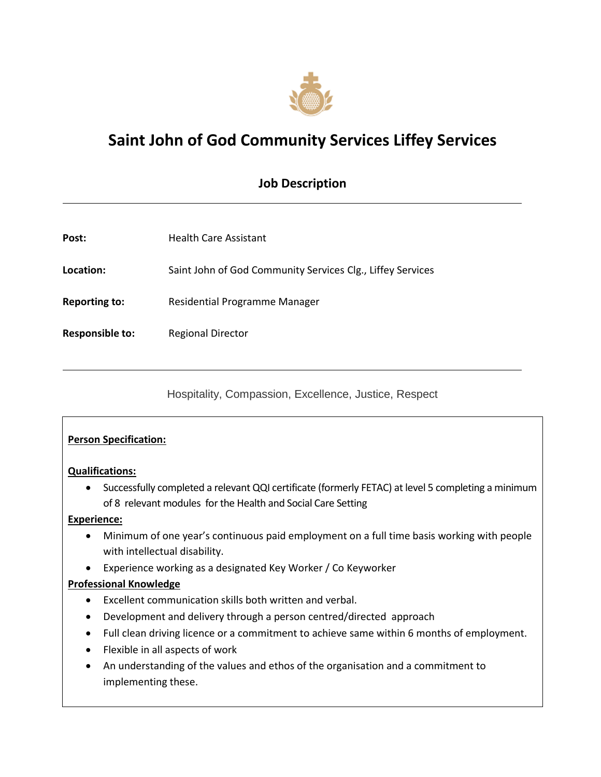

# **Saint John of God Community Services Liffey Services**

## **Job Description**

| Post:                | <b>Health Care Assistant</b>                               |
|----------------------|------------------------------------------------------------|
| Location:            | Saint John of God Community Services Clg., Liffey Services |
| <b>Reporting to:</b> | Residential Programme Manager                              |
| Responsible to:      | <b>Regional Director</b>                                   |
|                      |                                                            |

Hospitality, Compassion, Excellence, Justice, Respect

#### **Person Specification:**

#### **Qualifications:**

 Successfully completed a relevant QQI certificate (formerly FETAC) at level 5 completing a minimum of 8 relevant modules for the Health and Social Care Setting

#### **Experience:**

- Minimum of one year's continuous paid employment on a full time basis working with people with intellectual disability.
- Experience working as a designated Key Worker / Co Keyworker

#### **Professional Knowledge**

- Excellent communication skills both written and verbal.
- Development and delivery through a person centred/directed approach
- Full clean driving licence or a commitment to achieve same within 6 months of employment.
- Flexible in all aspects of work
- An understanding of the values and ethos of the organisation and a commitment to implementing these.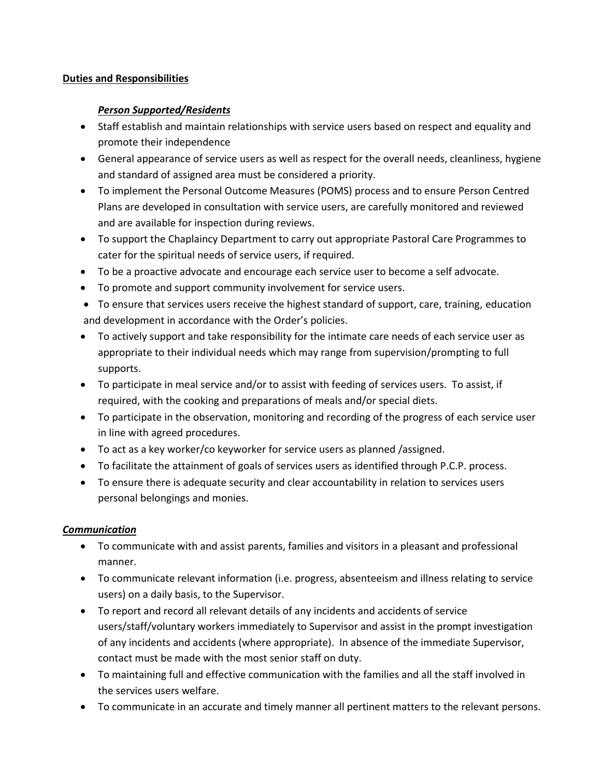#### **Duties and Responsibilities**

#### *Person Supported/Residents*

- Staff establish and maintain relationships with service users based on respect and equality and promote their independence
- General appearance of service users as well as respect for the overall needs, cleanliness, hygiene and standard of assigned area must be considered a priority.
- To implement the Personal Outcome Measures (POMS) process and to ensure Person Centred Plans are developed in consultation with service users, are carefully monitored and reviewed and are available for inspection during reviews.
- To support the Chaplaincy Department to carry out appropriate Pastoral Care Programmes to cater for the spiritual needs of service users, if required.
- To be a proactive advocate and encourage each service user to become a self advocate.
- To promote and support community involvement for service users.
- To ensure that services users receive the highest standard of support, care, training, education and development in accordance with the Order's policies.
- To actively support and take responsibility for the intimate care needs of each service user as appropriate to their individual needs which may range from supervision/prompting to full supports.
- To participate in meal service and/or to assist with feeding of services users. To assist, if required, with the cooking and preparations of meals and/or special diets.
- To participate in the observation, monitoring and recording of the progress of each service user in line with agreed procedures.
- To act as a key worker/co keyworker for service users as planned /assigned.
- To facilitate the attainment of goals of services users as identified through P.C.P. process.
- To ensure there is adequate security and clear accountability in relation to services users personal belongings and monies.

#### *Communication*

- To communicate with and assist parents, families and visitors in a pleasant and professional manner.
- To communicate relevant information (i.e. progress, absenteeism and illness relating to service users) on a daily basis, to the Supervisor.
- To report and record all relevant details of any incidents and accidents of service users/staff/voluntary workers immediately to Supervisor and assist in the prompt investigation of any incidents and accidents (where appropriate). In absence of the immediate Supervisor, contact must be made with the most senior staff on duty.
- To maintaining full and effective communication with the families and all the staff involved in the services users welfare.
- To communicate in an accurate and timely manner all pertinent matters to the relevant persons.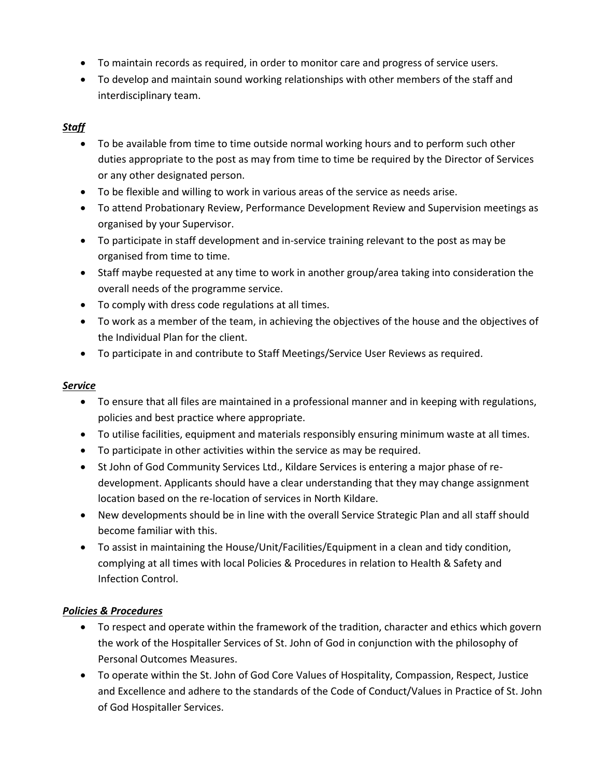- To maintain records as required, in order to monitor care and progress of service users.
- To develop and maintain sound working relationships with other members of the staff and interdisciplinary team.

### *Staff*

- To be available from time to time outside normal working hours and to perform such other duties appropriate to the post as may from time to time be required by the Director of Services or any other designated person.
- To be flexible and willing to work in various areas of the service as needs arise.
- To attend Probationary Review, Performance Development Review and Supervision meetings as organised by your Supervisor.
- To participate in staff development and in-service training relevant to the post as may be organised from time to time.
- Staff maybe requested at any time to work in another group/area taking into consideration the overall needs of the programme service.
- To comply with dress code regulations at all times.
- To work as a member of the team, in achieving the objectives of the house and the objectives of the Individual Plan for the client.
- To participate in and contribute to Staff Meetings/Service User Reviews as required.

#### *Service*

- To ensure that all files are maintained in a professional manner and in keeping with regulations, policies and best practice where appropriate.
- To utilise facilities, equipment and materials responsibly ensuring minimum waste at all times.
- To participate in other activities within the service as may be required.
- St John of God Community Services Ltd., Kildare Services is entering a major phase of redevelopment. Applicants should have a clear understanding that they may change assignment location based on the re-location of services in North Kildare.
- New developments should be in line with the overall Service Strategic Plan and all staff should become familiar with this.
- To assist in maintaining the House/Unit/Facilities/Equipment in a clean and tidy condition, complying at all times with local Policies & Procedures in relation to Health & Safety and Infection Control.

#### *Policies & Procedures*

- To respect and operate within the framework of the tradition, character and ethics which govern the work of the Hospitaller Services of St. John of God in conjunction with the philosophy of Personal Outcomes Measures.
- To operate within the St. John of God Core Values of Hospitality, Compassion, Respect, Justice and Excellence and adhere to the standards of the Code of Conduct/Values in Practice of St. John of God Hospitaller Services.